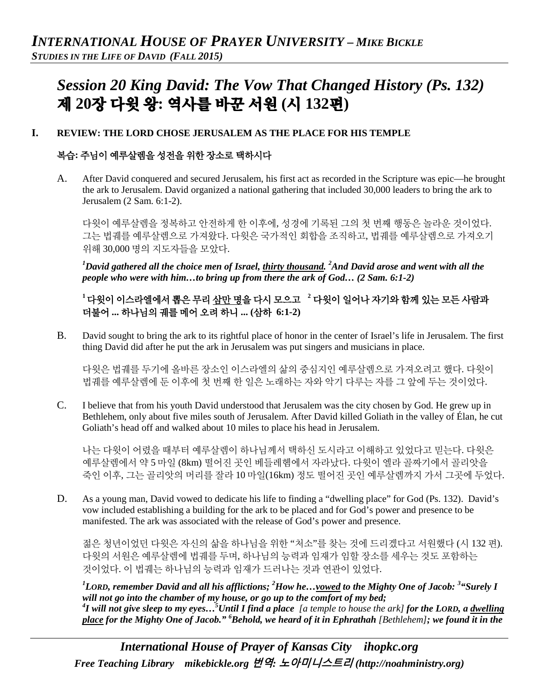# *Session 20 King David: The Vow That Changed History (Ps. 132)* 제 **20**장 다윗 왕**:** 역사를 바꾼 서원 **(**시 **132**편**)**

#### **I. REVIEW: THE LORD CHOSE JERUSALEM AS THE PLACE FOR HIS TEMPLE**

# 복습**:** 주님이 예루살렘을 성전을 위한 장소로 택하시다

A. After David conquered and secured Jerusalem, his first act as recorded in the Scripture was epic—he brought the ark to Jerusalem. David organized a national gathering that included 30,000 leaders to bring the ark to Jerusalem (2 Sam. 6:1-2).

다윗이 예루살렘을 정복하고 안전하게 한 이후에, 성경에 기록된 그의 첫 번째 행동은 놀라운 것이었다. 그는 법궤를 예루살렘으로 가져왔다. 다윗은 국가적인 회합을 조직하고, 법궤를 예루살렘으로 가져오기 위해 30,000 명의 지도자들을 모았다.

*1 David gathered all the choice men of Israel, thirty thousand. 2 And David arose and went with all the people who were with him…to bring up from there the ark of God… (2 Sam. 6:1-2)*

# **<sup>1</sup>** 다윗이 이스라엘에서 뽑은 무리 삼만 명을 다시 모으고 **<sup>2</sup>** 다윗이 일어나 자기와 함께 있는 모든 사람과 더불어 **...** 하나님의 궤를 메어 오려 하니 **... (**삼하 **6:1-2)**

B. David sought to bring the ark to its rightful place of honor in the center of Israel's life in Jerusalem. The first thing David did after he put the ark in Jerusalem was put singers and musicians in place.

다윗은 법궤를 두기에 올바른 장소인 이스라엘의 삶의 중심지인 예루살렘으로 가져오려고 했다. 다윗이 법궤를 예루살렘에 둔 이후에 첫 번째 한 일은 노래하는 자와 악기 다루는 자를 그 앞에 두는 것이었다.

C. I believe that from his youth David understood that Jerusalem was the city chosen by God. He grew up in Bethlehem, only about five miles south of Jerusalem. After David killed Goliath in the valley of Élan, he cut Goliath's head off and walked about 10 miles to place his head in Jerusalem.

나는 다윗이 어렸을 때부터 예루살렘이 하나님께서 택하신 도시라고 이해하고 있었다고 믿는다. 다윗은 예루살렘에서 약 5 마일 (8km) 떨어진 곳인 베들레헴에서 자라났다. 다윗이 엘라 골짜기에서 골리앗을 죽인 이후, 그는 골리앗의 머리를 잘라 10 마일(16km) 정도 떨어진 곳인 예루살렘까지 가서 그곳에 두었다.

D. As a young man, David vowed to dedicate his life to finding a "dwelling place" for God (Ps. 132). David's vow included establishing a building for the ark to be placed and for God's power and presence to be manifested. The ark was associated with the release of God's power and presence.

젊은 청년이었던 다윗은 자신의 삶을 하나님을 위한 "처소"를 찾는 것에 드리겠다고 서원했다 (시 132 편). 다윗의 서원은 예루살렘에 법궤를 두며, 하나님의 능력과 임재가 임할 장소를 세우는 것도 포함하는 것이었다. 이 법궤는 하나님의 능력과 임재가 드러나는 것과 연관이 있었다.

*1 LORD, remember David and all his afflictions; 2 How he…vowed to the Mighty One of Jacob: 3 "Surely I will not go into the chamber of my house, or go up to the comfort of my bed;*  <sup>4</sup>**I** will not give sleep to my eyes...<sup>5</sup>Until I find a place [a temple to house the ark] for the LORD, a <u>dwelling</u> *place for the Mighty One of Jacob." 6 Behold, we heard of it in Ephrathah [Bethlehem]; we found it in the* 

*International House of Prayer of Kansas City [ihopkc.org](http://www.ihopkc.org/) Free Teaching Library [mikebickle.org](http://www.mikebickle.org/)* 번역*:* 노아미니스트리 *(http://noahministry.org)*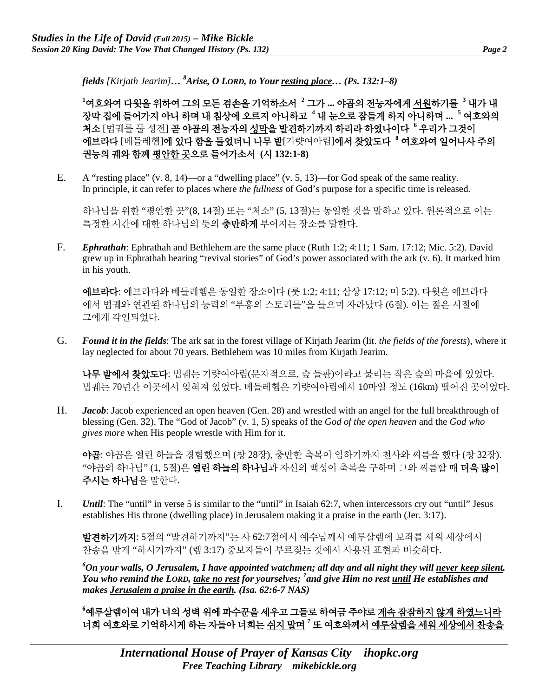*fields [Kirjath Jearim]… 8 Arise, O LORD, to Your resting place… (Ps. 132:1–8)*

**1** 여호와여 다윗을 위하여 그의 모든 겸손을 기억하소서 **<sup>2</sup>** 그가 **...** 야곱의 전능자에게 서원하기를 **<sup>3</sup>** 내가 내 장막 집에 들어가지 아니 하며 내 침상에 오르지 아니하고 **<sup>4</sup>** 내 눈으로 잠들게 하지 아니하며 **... <sup>5</sup>** 여호와의 처소 [법궤를 둘 성전] 곧 야곱의 전능자의 성막을 발견하기까지 하리라 하였나이다 **<sup>6</sup>** 우리가 그것이 에브라다 [베들레헴]에 있다 함을 들었더니 나무 밭[기럇여아림]에서 찾았도다 **<sup>8</sup>** 여호와여 일어나사 주의 권능의 궤와 함께 평안한 곳으로 들어가소서 **(**시 **132:1-8)**

E. A "resting place" (v. 8, 14)—or a "dwelling place" (v. 5, 13)—for God speak of the same reality. In principle, it can refer to places where *the fullness* of God's purpose for a specific time is released.

하나님을 위한 "평안한 곳"(8, 14절) 또는 "처소" (5, 13절)는 동일한 것을 말하고 있다. 원론적으로 이는 특정한 시간에 대한 하나님의 뜻의 **충만하게** 부어지는 장소를 말한다.

F. *Ephrathah*: Ephrathah and Bethlehem are the same place (Ruth 1:2; 4:11; 1 Sam. 17:12; Mic. 5:2). David grew up in Ephrathah hearing "revival stories" of God's power associated with the ark (v. 6). It marked him in his youth.

에브라다: 에브라다와 베들레헴은 동일한 장소이다 (룻 1:2; 4:11; 삼상 17:12; 미 5:2). 다윗은 에브라다 에서 법궤와 연관된 하나님의 능력의 "부흥의 스토리들"을 들으며 자라났다 (6절). 이는 젊은 시절에 그에게 각인되었다.

G. *Found it in the fields*: The ark sat in the forest village of Kirjath Jearim (lit. *the fields of the forests*), where it lay neglected for about 70 years. Bethlehem was 10 miles from Kirjath Jearim.

나무 밭에서 찾았도다: 법궤는 기럇여아림(문자적으로, 숲 들판)이라고 불리는 작은 숲의 마을에 있었다. 법궤는 70년간 이곳에서 잊혀져 있었다. 베들레헴은 기럇여아림에서 10마일 정도 (16km) 떨어진 곳이었다.

H. *Jacob*: Jacob experienced an open heaven (Gen. 28) and wrestled with an angel for the full breakthrough of blessing (Gen. 32). The "God of Jacob" (v. 1, 5) speaks of the *God of the open heaven* and the *God who gives more* when His people wrestle with Him for it.

야곱: 야곱은 열린 하늘을 경험했으며 (창 28장), 충만한 축복이 임하기까지 천사와 씨름을 했다 (창 32장). "야곱의 하나님" (1, 5절)은 **열린 하늘의 하나님**과 자신의 백성이 축복을 구하며 그와 씨름할 때 **더욱 많이** 주시는 하나님을 말한다.

I. *Until*: The "until" in verse 5 is similar to the "until" in Isaiah 62:7, when intercessors cry out "until" Jesus establishes His throne (dwelling place) in Jerusalem making it a praise in the earth (Jer. 3:17).

발견하기까지: 5절의 "발견하기까지"는 사 62:7절에서 예수님께서 예루살렘에 보좌를 세워 세상에서 찬송을 받게 "하시기까지" (렘 3:17) 중보자들이 부르짖는 것에서 사용된 표현과 비슷하다.

*6 On your walls, O Jerusalem, I have appointed watchmen; all day and all night they will never keep silent. You who remind the LORD, take no rest for yourselves; 7 and give Him no rest until He establishes and makes Jerusalem a praise in the earth. (Isa. 62:6-7 NAS)*

**6** 예루살렘이여 내가 너의 성벽 위에 파수꾼을 세우고 그들로 하여금 주야로 계속 잠잠하지 않게 하였느니라 너희 여호와로 기억하시게 하는 자들아 너희는 쉬지 말며 **<sup>7</sup>** 또 여호와께서 예루살렘을 세워 세상에서 찬송을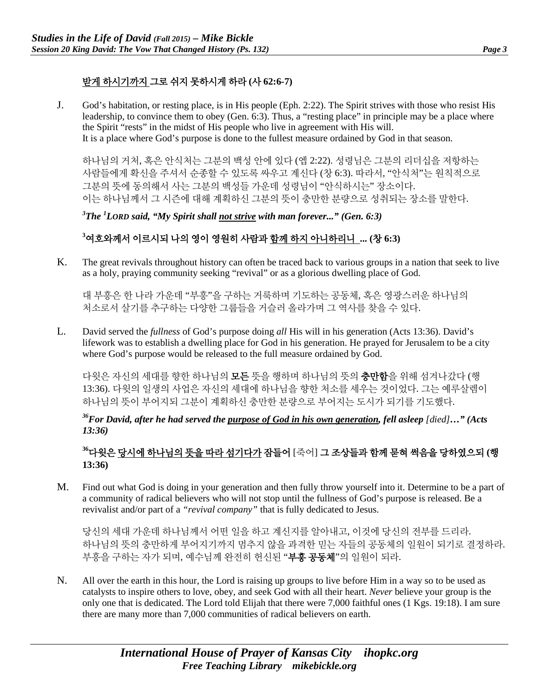# 받게 하시기까지 그로 쉬지 못하시게 하라 **(**사 **62:6-7)**

J. God's habitation, or resting place, is in His people (Eph. 2:22). The Spirit strives with those who resist His leadership, to convince them to obey (Gen. 6:3). Thus, a "resting place" in principle may be a place where the Spirit "rests" in the midst of His people who live in agreement with His will. It is a place where God's purpose is done to the fullest measure ordained by God in that season.

하나님의 거처, 혹은 안식처는 그분의 백성 안에 있다 (엡 2:22). 성령님은 그분의 리더십을 저항하는 사람들에게 확신을 주셔서 순종할 수 있도록 싸우고 계신다 (창 6:3). 따라서, "안식처"는 원칙적으로 그분의 뜻에 동의해서 사는 그분의 백성들 가운데 성령님이 "안식하시는" 장소이다. 이는 하나님께서 그 시즌에 대해 계획하신 그분의 뜻이 충만한 분량으로 성취되는 장소를 말한다.

*3 The 1 LORD said, "My Spirit shall not strive with man forever..." (Gen. 6:3)*

# **3** 여호와께서 이르시되 나의 영이 영원히 사람과 함께 하지 아니하리니 **... (**창 **6:3)**

K. The great revivals throughout history can often be traced back to various groups in a nation that seek to live as a holy, praying community seeking "revival" or as a glorious dwelling place of God.

대 부흥은 한 나라 가운데 "부흥"을 구하는 거룩하며 기도하는 공동체, 혹은 영광스러운 하나님의 처소로서 살기를 추구하는 다양한 그룹들을 거슬러 올라가며 그 역사를 찾을 수 있다.

L. David served the *fullness* of God's purpose doing *all* His will in his generation (Acts 13:36). David's lifework was to establish a dwelling place for God in his generation. He prayed for Jerusalem to be a city where God's purpose would be released to the full measure ordained by God.

다윗은 자신의 세대를 향한 하나님의 **모든** 뜻을 행하며 하나님의 뜻의 **충만함**을 위해 섬겨나갔다 (행 13:36). 다윗의 일생의 사업은 자신의 세대에 하나님을 향한 처소를 세우는 것이었다. 그는 예루살렘이 하나님의 뜻이 부어지되 그분이 계획하신 충만한 분량으로 부어지는 도시가 되기를 기도했다.

<sup>36</sup>For David, after he had served the purpose of God in his own generation, fell asleep [died]..." (Acts *13:36)* 

### **<sup>36</sup>**다윗은 당시에 하나님의 뜻을 따라 섬기다가 잠들어 [죽어] 그 조상들과 함께 묻혀 썩음을 당하였으되 **(**행 **13:36)**

M. Find out what God is doing in your generation and then fully throw yourself into it. Determine to be a part of a community of radical believers who will not stop until the fullness of God's purpose is released. Be a revivalist and/or part of a *"revival company"* that is fully dedicated to Jesus.

당신의 세대 가운데 하나님께서 어떤 일을 하고 계신지를 알아내고, 이것에 당신의 전부를 드리라. 하나님의 뜻의 충만하게 부어지기까지 멈추지 않을 과격한 믿는 자들의 공동체의 일원이 되기로 결정하라. 부흥을 구하는 자가 되며, 예수님께 완전히 헌신된 "**부흥 공동체**"의 일원이 되라.

N. All over the earth in this hour, the Lord is raising up groups to live before Him in a way so to be used as catalysts to inspire others to love, obey, and seek God with all their heart. *Never* believe your group is the only one that is dedicated. The Lord told Elijah that there were 7,000 faithful ones (1 Kgs. 19:18). I am sure there are many more than 7,000 communities of radical believers on earth.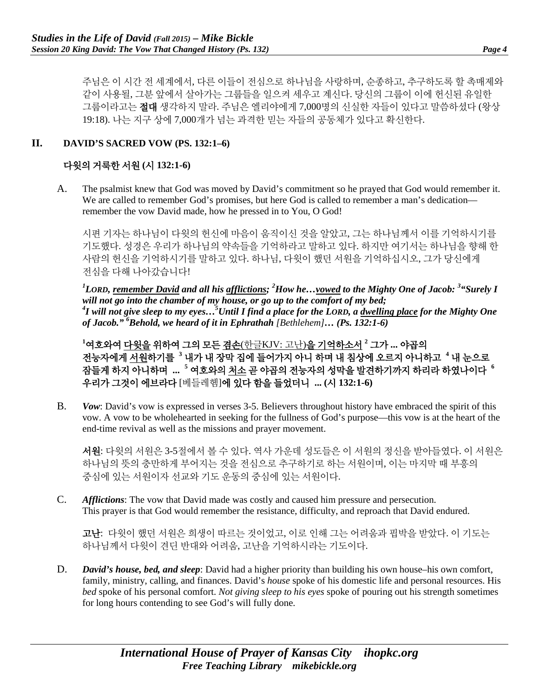주님은 이 시간 전 세계에서, 다른 이들이 전심으로 하나님을 사랑하며, 순종하고, 추구하도록 할 촉매제와 같이 사용될, 그분 앞에서 살아가는 그룹들을 일으켜 세우고 계신다. 당신의 그룹이 이에 헌신된 유일한 그룹이라고는 절대 생각하지 말라. 주님은 엘리야에게 7,000명의 신실한 자들이 있다고 말씀하셨다 (왕상 19:18). 나는 지구 상에 7,000개가 넘는 과격한 믿는 자들의 공동체가 있다고 확신한다.

#### **II. DAVID'S SACRED VOW (PS. 132:1–6)**

### 다윗의 거룩한 서원 **(**시 **132:1-6)**

A. The psalmist knew that God was moved by David's commitment so he prayed that God would remember it. We are called to remember God's promises, but here God is called to remember a man's dedication remember the vow David made, how he pressed in to You, O God!

시편 기자는 하나님이 다윗의 헌신에 마음이 움직이신 것을 알았고, 그는 하나님께서 이를 기억하시기를 기도했다. 성경은 우리가 하나님의 약속들을 기억하라고 말하고 있다. 하지만 여기서는 하나님을 향해 한 사람의 헌신을 기억하시기를 말하고 있다. 하나님, 다윗이 했던 서원을 기억하십시오, 그가 당신에게 전심을 다해 나아갔습니다!

*1 LORD, remember David and all his afflictions; <sup>2</sup> How he…vowed to the Mighty One of Jacob: 3 "Surely I will not go into the chamber of my house, or go up to the comfort of my bed; 4 I will not give sleep to my eyes…5 Until I find a place for the LORD, a dwelling place for the Mighty One of Jacob." 6 Behold, we heard of it in Ephrathah [Bethlehem]… (Ps. 132:1-6)*

**1** 여호와여 다윗을 위하여 그의 모든 겸손(한글KJV: 고난)을 기억하소서 **<sup>2</sup>** 그가 **...** 야곱의 전능자에게 서원하기를 **<sup>3</sup>** 내가 내 장막 집에 들어가지 아니 하며 내 침상에 오르지 아니하고 **<sup>4</sup>** 내 눈으로 잠들게 하지 아니하며 **... <sup>5</sup>** 여호와의 처소 곧 야곱의 전능자의 성막을 발견하기까지 하리라 하였나이다 **<sup>6</sup>** 우리가 그것이 에브라다 [베들레헴]에 있다 함을 들었더니 **... (**시 **132:1-6)**

B. *Vow*: David's vow is expressed in verses 3-5. Believers throughout history have embraced the spirit of this vow. A vow to be wholehearted in seeking for the fullness of God's purpose—this vow is at the heart of the end-time revival as well as the missions and prayer movement.

서원: 다윗의 서원은 3-5절에서 볼 수 있다. 역사 가운데 성도들은 이 서원의 정신을 받아들였다. 이 서원은 하나님의 뜻의 충만하게 부어지는 것을 전심으로 추구하기로 하는 서원이며, 이는 마지막 때 부흥의 중심에 있는 서원이자 선교와 기도 운동의 중심에 있는 서원이다.

C. *Afflictions*: The vow that David made was costly and caused him pressure and persecution. This prayer is that God would remember the resistance, difficulty, and reproach that David endured.

고난: 다윗이 했던 서원은 희생이 따르는 것이었고, 이로 인해 그는 어려움과 핍박을 받았다. 이 기도는 하나님께서 다윗이 견딘 반대와 어려움, 고난을 기억하시라는 기도이다.

D. *David's house, bed, and sleep*: David had a higher priority than building his own house–his own comfort, family, ministry, calling, and finances. David's *house* spoke of his domestic life and personal resources. His *bed* spoke of his personal comfort. *Not giving sleep to his eyes* spoke of pouring out his strength sometimes for long hours contending to see God's will fully done.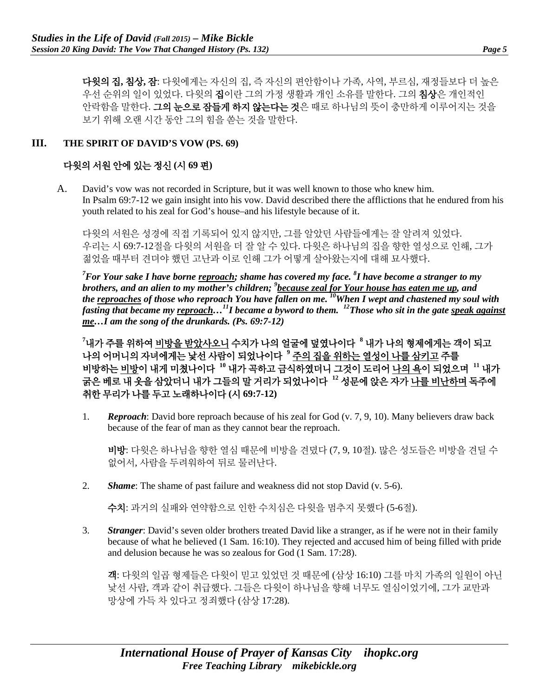다윗의 집**,** 침상**,** 잠: 다윗에게는 자신의 집, 즉 자신의 편안함이나 가족, 사역, 부르심, 재정들보다 더 높은 우선 순위의 일이 있었다. 다윗의 집이란 그의 가정 생활과 개인 소유를 말한다. 그의 침상은 개인적인 안락함을 말한다. 그의 눈으로 잠들게 하지 않는다는 것은 때로 하나님의 뜻이 충만하게 이루어지는 것을 보기 위해 오랜 시간 동안 그의 힘을 쏟는 것을 말한다.

#### **III. THE SPIRIT OF DAVID'S VOW (PS. 69)**

#### 다윗의 서원 안에 있는 정신 **(**시 **69** 편**)**

A. David's vow was not recorded in Scripture, but it was well known to those who knew him. In Psalm 69:7-12 we gain insight into his vow. David described there the afflictions that he endured from his youth related to his zeal for God's house–and his lifestyle because of it.

다윗의 서원은 성경에 직접 기록되어 있지 않지만, 그를 알았던 사람들에게는 잘 알려져 있었다. 우리는 시 69:7-12절을 다윗의 서원을 더 잘 알 수 있다. 다윗은 하나님의 집을 향한 열성으로 인해, 그가 젊었을 때부터 견뎌야 했던 고난과 이로 인해 그가 어떻게 살아왔는지에 대해 묘사했다.

<sup>7</sup> For Your sake I have borne <u>reproach</u>; shame has covered my face. <sup>8</sup>I have become a stranger to my brothers, and an alien to my mother's children; <sup>9</sup> <u>because zeal for Your house has eaten me up</u>, and *the reproaches of those who reproach You have fallen on me. 10When I wept and chastened my soul with fasting that became my reproach…11I became a byword to them. 12Those who sit in the gate speak against me…I am the song of the drunkards. (Ps. 69:7-12)* 

**7** 내가 주를 위하여 비방을 받았사오니 수치가 나의 얼굴에 덮였나이다 **<sup>8</sup>** 내가 나의 형제에게는 객이 되고 나의 어머니의 자녀에게는 낯선 사람이 되었나이다 **<sup>9</sup>** 주의 집을 위하는 열성이 나를 삼키고 주를 비방하는 비방이 내게 미쳤나이다 **<sup>10</sup>** 내가 곡하고 금식하였더니 그것이 도리어 나의 욕이 되었으며 **<sup>11</sup>** 내가 굵은 베로 내 옷을 삼았더니 내가 그들의 말 거리가 되었나이다 **<sup>12</sup>** 성문에 앉은 자가 나를 비난하며 독주에 취한 무리가 나를 두고 노래하나이다 **(**시 **69:7-12)**

1. *Reproach*: David bore reproach because of his zeal for God (v. 7, 9, 10). Many believers draw back because of the fear of man as they cannot bear the reproach.

비방: 다윗은 하나님을 향한 열심 때문에 비방을 견뎠다 (7, 9, 10절). 많은 성도들은 비방을 견딜 수 없어서, 사람을 두려워하여 뒤로 물러난다.

2. *Shame*: The shame of past failure and weakness did not stop David (v. 5-6).

수치: 과거의 실패와 연약함으로 인한 수치심은 다윗을 멈추지 못했다 (5-6절).

3. *Stranger*: David's seven older brothers treated David like a stranger, as if he were not in their family because of what he believed (1 Sam. 16:10). They rejected and accused him of being filled with pride and delusion because he was so zealous for God (1 Sam. 17:28).

객: 다윗의 일곱 형제들은 다윗이 믿고 있었던 것 때문에 (삼상 16:10) 그를 마치 가족의 일원이 아닌 낯선 사람, 객과 같이 취급했다. 그들은 다윗이 하나님을 향해 너무도 열심이었기에, 그가 교만과 망상에 가득 차 있다고 정죄했다 (삼상 17:28).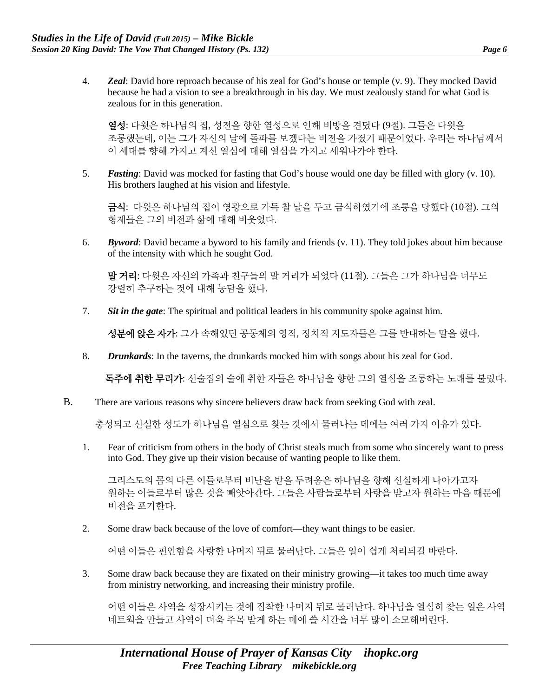4. *Zeal*: David bore reproach because of his zeal for God's house or temple (v. 9). They mocked David because he had a vision to see a breakthrough in his day. We must zealously stand for what God is zealous for in this generation.

열성: 다윗은 하나님의 집, 성전을 향한 열성으로 인해 비방을 견뎠다 (9절). 그들은 다윗을 조롱했는데, 이는 그가 자신의 날에 돌파를 보겠다는 비전을 가졌기 때문이었다. 우리는 하나님께서 이 세대를 향해 가지고 계신 열심에 대해 열심을 가지고 세워나가야 한다.

5. *Fasting*: David was mocked for fasting that God's house would one day be filled with glory (v. 10). His brothers laughed at his vision and lifestyle.

금식: 다윗은 하나님의 집이 영광으로 가득 찰 날을 두고 금식하였기에 조롱을 당했다 (10절). 그의 형제들은 그의 비전과 삶에 대해 비웃었다.

6. *Byword*: David became a byword to his family and friends (v. 11). They told jokes about him because of the intensity with which he sought God.

말 거리: 다윗은 자신의 가족과 친구들의 말 거리가 되었다 (11절). 그들은 그가 하나님을 너무도 강렬히 추구하는 것에 대해 농담을 했다.

7. *Sit in the gate*: The spiritual and political leaders in his community spoke against him.

성문에 앉은 자가: 그가 속해있던 공동체의 영적, 정치적 지도자들은 그를 반대하는 말을 했다.

8. *Drunkards*: In the taverns, the drunkards mocked him with songs about his zeal for God.

독주에 취한 무리가: 선술집의 술에 취한 자들은 하나님을 향한 그의 열심을 조롱하는 노래를 불렀다.

B. There are various reasons why sincere believers draw back from seeking God with zeal.

충성되고 신실한 성도가 하나님을 열심으로 찾는 것에서 물러나는 데에는 여러 가지 이유가 있다.

1. Fear of criticism from others in the body of Christ steals much from some who sincerely want to press into God. They give up their vision because of wanting people to like them.

그리스도의 몸의 다른 이들로부터 비난을 받을 두려움은 하나님을 향해 신실하게 나아가고자 원하는 이들로부터 많은 것을 빼앗아간다. 그들은 사람들로부터 사랑을 받고자 원하는 마음 때문에 비전을 포기한다.

2. Some draw back because of the love of comfort—they want things to be easier.

어떤 이들은 편안함을 사랑한 나머지 뒤로 물러난다. 그들은 일이 쉽게 처리되길 바란다.

3. Some draw back because they are fixated on their ministry growing—it takes too much time away from ministry networking, and increasing their ministry profile.

어떤 이들은 사역을 성장시키는 것에 집착한 나머지 뒤로 물러난다. 하나님을 열심히 찾는 일은 사역 네트웍을 만들고 사역이 더욱 주목 받게 하는 데에 쓸 시간을 너무 많이 소모해버린다.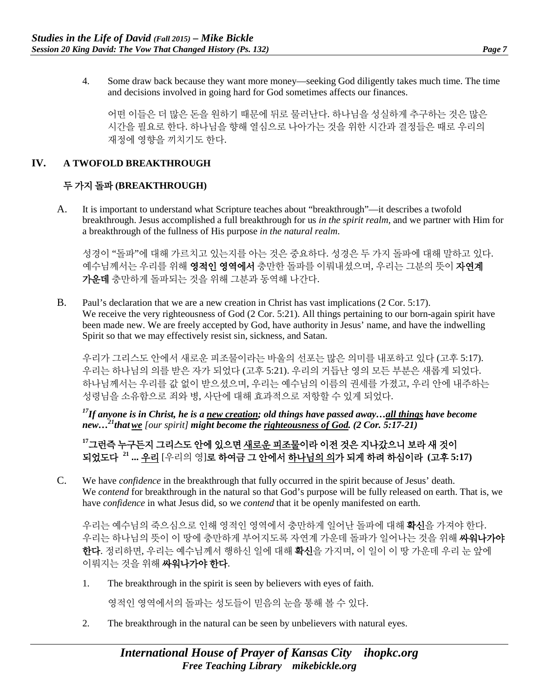4. Some draw back because they want more money—seeking God diligently takes much time. The time and decisions involved in going hard for God sometimes affects our finances.

어떤 이들은 더 많은 돈을 원하기 때문에 뒤로 물러난다. 하나님을 성실하게 추구하는 것은 많은 시간을 필요로 한다. 하나님을 향해 열심으로 나아가는 것을 위한 시간과 결정들은 때로 우리의 재정에 영향을 끼치기도 한다.

#### **IV. A TWOFOLD BREAKTHROUGH**

#### 두 가지 돌파 **(BREAKTHROUGH)**

A. It is important to understand what Scripture teaches about "breakthrough"—it describes a twofold breakthrough. Jesus accomplished a full breakthrough for us *in the spirit realm*, and we partner with Him for a breakthrough of the fullness of His purpose *in the natural realm*.

성경이 "돌파"에 대해 가르치고 있는지를 아는 것은 중요하다. 성경은 두 가지 돌파에 대해 말하고 있다. 예수님께서는 우리를 위해 영적인 영역에서 충만한 돌파를 이뤄내셨으며, 우리는 그분의 뜻이 자연계 가운데 충만하게 돌파되는 것을 위해 그분과 동역해 나간다.

B. Paul's declaration that we are a new creation in Christ has vast implications (2 Cor. 5:17). We receive the very righteousness of God (2 Cor. 5:21). All things pertaining to our born-again spirit have been made new. We are freely accepted by God, have authority in Jesus' name, and have the indwelling Spirit so that we may effectively resist sin, sickness, and Satan.

우리가 그리스도 안에서 새로운 피조물이라는 바울의 선포는 많은 의미를 내포하고 있다 (고후 5:17). 우리는 하나님의 의를 받은 자가 되었다 (고후 5:21). 우리의 거듭난 영의 모든 부분은 새롭게 되었다. 하나님께서는 우리를 값 없이 받으셨으며, 우리는 예수님의 이름의 권세를 가졌고, 우리 안에 내주하는 성령님을 소유함으로 죄와 병, 사단에 대해 효과적으로 저항할 수 있게 되었다.

*17If anyone is in Christ, he is a new creation; old things have passed away…all things have become new…21thatwe [our spirit] might become the righteousness of God. (2 Cor. 5:17-21)* 

**<sup>17</sup>**그런즉 누구든지 그리스도 안에 있으면 새로운 피조물이라 이전 것은 지나갔으니 보라 새 것이 되었도다 **<sup>21</sup> ...** 우리 [우리의 영]로 하여금 그 안에서 하나님의 의가 되게 하려 하심이라 **(**고후 **5:17)**

C. We have *confidence* in the breakthrough that fully occurred in the spirit because of Jesus' death. We *contend* for breakthrough in the natural so that God's purpose will be fully released on earth. That is, we have *confidence* in what Jesus did, so we *contend* that it be openly manifested on earth.

우리는 예수님의 죽으심으로 인해 영적인 영역에서 충만하게 일어난 돌파에 대해 **확신**을 가져야 한다. 우리는 하나님의 뜻이 이 땅에 충만하게 부어지도록 자연계 가운데 돌파가 일어나는 것을 위해 **싸워나가야** 한다. 정리하면, 우리는 예수님께서 행하신 일에 대해 확신을 가지며, 이 일이 이 땅 가운데 우리 눈 앞에 이뤄지는 것을 위해 싸워나가야 한다.

1. The breakthrough in the spirit is seen by believers with eyes of faith.

영적인 영역에서의 돌파는 성도들이 믿음의 눈을 통해 볼 수 있다.

2. The breakthrough in the natural can be seen by unbelievers with natural eyes.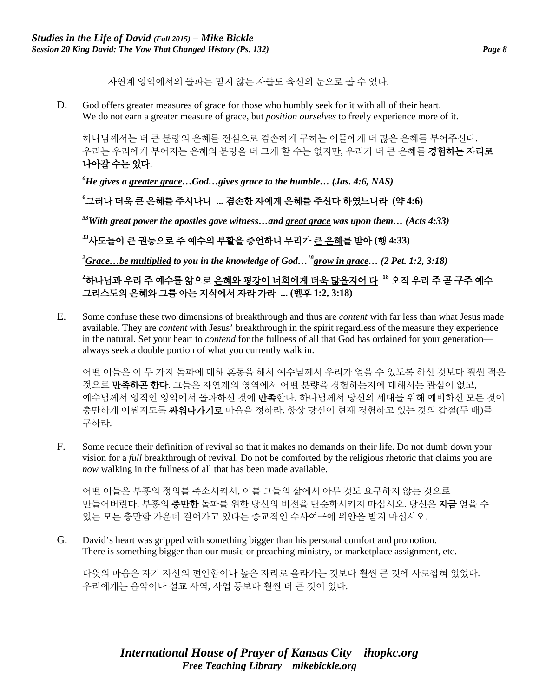자연계 영역에서의 돌파는 믿지 않는 자들도 육신의 눈으로 볼 수 있다.

D. God offers greater measures of grace for those who humbly seek for it with all of their heart. We do not earn a greater measure of grace, but *position ourselves* to freely experience more of it.

하나님께서는 더 큰 분량의 은혜를 전심으로 겸손하게 구하는 이들에게 더 많은 은혜를 부어주신다. 우리는 우리에게 부어지는 은혜의 분량을 더 크게 할 수는 없지만, 우리가 더 큰 은혜를 **경험하는 자리로** 나아갈 수는 있다.

*6 He gives a greater grace…God…gives grace to the humble… (Jas. 4:6, NAS)*

# **6** 그러나 더욱 큰 은혜를 주시나니 **...** 겸손한 자에게 은혜를 주신다 하였느니라 **(**약 **4:6)**

*33With great power the apostles gave witness…and great grace was upon them… (Acts 4:33)*

**<sup>33</sup>**사도들이 큰 권능으로 주 예수의 부활을 증언하니 무리가 큰 은혜를 받아 **(**행 **4:33)**

*2 Grace…be multiplied to you in the knowledge of God…18grow in grace… (2 Pet. 1:2, 3:18)*

# **2** 하나님과 우리 주 예수를 앎으로 은혜와 평강이 너희에게 더욱 많을지어 다 **<sup>18</sup>** 오직 우리 주 곧 구주 예수 그리스도의 은혜와 그를 아는 지식에서 자라 가라 **... (**벧후 **1:2, 3:18)**

E. Some confuse these two dimensions of breakthrough and thus are *content* with far less than what Jesus made available. They are *content* with Jesus' breakthrough in the spirit regardless of the measure they experience in the natural. Set your heart to *contend* for the fullness of all that God has ordained for your generation always seek a double portion of what you currently walk in.

어떤 이들은 이 두 가지 돌파에 대해 혼동을 해서 예수님께서 우리가 얻을 수 있도록 하신 것보다 훨씬 적은 것으로 만족하곤 한다. 그들은 자연계의 영역에서 어떤 분량을 경험하는지에 대해서는 관심이 없고, 예수님께서 영적인 영역에서 돌파하신 것에 **만족**한다. 하나님께서 당신의 세대를 위해 예비하신 모든 것이 충만하게 이뤄지도록 싸워나가기로 마음을 정하라. 항상 당신이 현재 경험하고 있는 것의 갑절(두 배)를 구하라.

F. Some reduce their definition of revival so that it makes no demands on their life. Do not dumb down your vision for a *full* breakthrough of revival. Do not be comforted by the religious rhetoric that claims you are *now* walking in the fullness of all that has been made available.

어떤 이들은 부흥의 정의를 축소시켜서, 이를 그들의 삶에서 아무 것도 요구하지 않는 것으로 만들어버린다. 부흥의 **충만한** 돌파를 위한 당신의 비전을 단순화시키지 마십시오. 당신은 **지금** 얻을 수 있는 모든 충만함 가운데 걸어가고 있다는 종교적인 수사여구에 위안을 받지 마십시오.

G. David's heart was gripped with something bigger than his personal comfort and promotion. There is something bigger than our music or preaching ministry, or marketplace assignment, etc.

다윗의 마음은 자기 자신의 편안함이나 높은 자리로 올라가는 것보다 훨씬 큰 것에 사로잡혀 있었다. 우리에게는 음악이나 설교 사역, 사업 등보다 훨씬 더 큰 것이 있다.